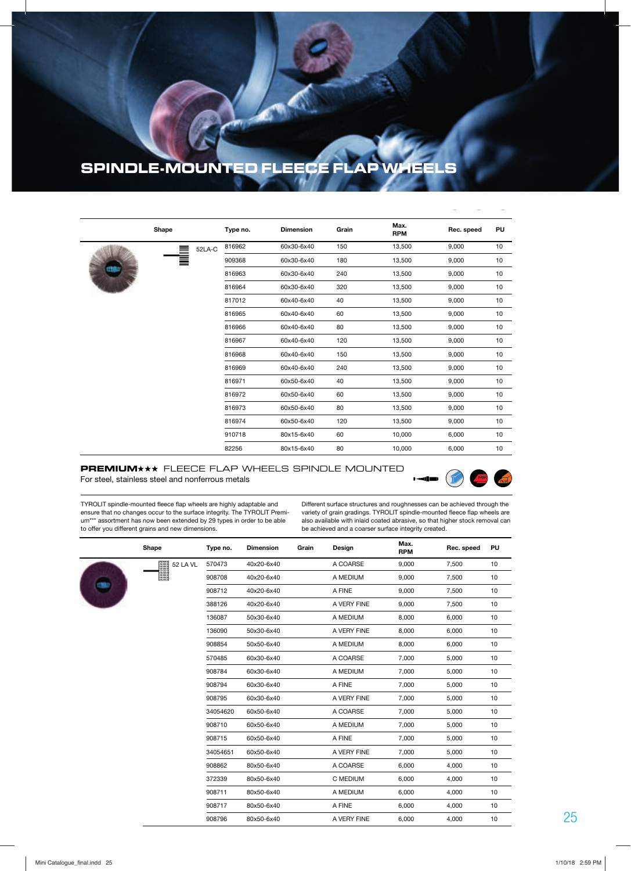## **SPINDLE-MOUNTED FLEECE FLAP WHEELS**

|  | Shape |        | Type no. | <b>Dimension</b> | Grain | Max.<br><b>RPM</b> | Rec. speed | PU |
|--|-------|--------|----------|------------------|-------|--------------------|------------|----|
|  |       | 52LA-C | 816962   | 60x30-6x40       | 150   | 13,500             | 9,000      | 10 |
|  |       |        | 909368   | 60x30-6x40       | 180   | 13,500             | 9,000      | 10 |
|  |       |        | 816963   | 60x30-6x40       | 240   | 13,500             | 9,000      | 10 |
|  |       |        | 816964   | 60x30-6x40       | 320   | 13,500             | 9,000      | 10 |
|  |       |        | 817012   | 60x40-6x40       | 40    | 13,500             | 9,000      | 10 |
|  |       |        | 816965   | 60x40-6x40       | 60    | 13,500             | 9,000      | 10 |
|  |       |        | 816966   | 60x40-6x40       | 80    | 13,500             | 9,000      | 10 |
|  |       |        | 816967   | 60x40-6x40       | 120   | 13,500             | 9,000      | 10 |
|  |       |        | 816968   | 60x40-6x40       | 150   | 13,500             | 9,000      | 10 |
|  |       |        | 816969   | 60x40-6x40       | 240   | 13,500             | 9,000      | 10 |
|  |       |        | 816971   | 60x50-6x40       | 40    | 13,500             | 9,000      | 10 |
|  |       |        | 816972   | 60x50-6x40       | 60    | 13,500             | 9,000      | 10 |
|  |       |        | 816973   | 60x50-6x40       | 80    | 13,500             | 9,000      | 10 |
|  |       |        | 816974   | 60x50-6x40       | 120   | 13,500             | 9,000      | 10 |
|  |       |        | 910718   | 80x15-6x40       | 60    | 10,000             | 6,000      | 10 |
|  |       |        | 82256    | 80x15-6x40       | 80    | 10,000             | 6,000      | 10 |

## **PREMIUM** \*\* FLEECE FLAP WHEELS SPINDLE MOUNTED For steel, stainless steel and nonferrous metals



TYROLIT spindle-mounted fleece flap wheels are highly adaptable and ensure that no changes occur to the surface integrity. The TYROLIT Premium\*\*\* assortment has now been extended by 29 types in order to be able to offer you different grains and new dimensions.

Different surface structures and roughnesses can be achieved through the variety of grain gradings. TYROLIT spindle-mounted fleece flap wheels are also available with inlaid coated abrasive, so that higher stock removal can be achieved and a coarser surface integrity created.

|  | Shape                           | Type no. | <b>Dimension</b> | Grain | Design      | Max.<br><b>RPM</b> | Rec. speed | PU |
|--|---------------------------------|----------|------------------|-------|-------------|--------------------|------------|----|
|  | <b>First</b><br><b>52 LA VL</b> | 570473   | 40x20-6x40       |       | A COARSE    | 9,000              | 7,500      | 10 |
|  |                                 | 908708   | 40x20-6x40       |       | A MEDIUM    | 9,000              | 7,500      | 10 |
|  |                                 | 908712   | 40x20-6x40       |       | A FINE      | 9,000              | 7,500      | 10 |
|  |                                 | 388126   | 40x20-6x40       |       | A VERY FINE | 9,000              | 7,500      | 10 |
|  |                                 | 136087   | 50x30-6x40       |       | A MEDIUM    | 8,000              | 6,000      | 10 |
|  |                                 | 136090   | 50x30-6x40       |       | A VERY FINE | 8,000              | 6,000      | 10 |
|  |                                 | 908854   | 50x50-6x40       |       | A MEDIUM    | 8,000              | 6,000      | 10 |
|  |                                 | 570485   | 60x30-6x40       |       | A COARSE    | 7,000              | 5,000      | 10 |
|  |                                 | 908784   | 60x30-6x40       |       | A MEDIUM    | 7,000              | 5,000      | 10 |
|  |                                 | 908794   | 60x30-6x40       |       | A FINE      | 7,000              | 5,000      | 10 |
|  |                                 | 908795   | 60x30-6x40       |       | A VERY FINE | 7,000              | 5,000      | 10 |
|  |                                 | 34054620 | 60x50-6x40       |       | A COARSE    | 7,000              | 5,000      | 10 |
|  |                                 | 908710   | 60x50-6x40       |       | A MEDIUM    | 7,000              | 5,000      | 10 |
|  |                                 | 908715   | 60x50-6x40       |       | A FINE      | 7,000              | 5,000      | 10 |
|  |                                 | 34054651 | 60x50-6x40       |       | A VERY FINE | 7,000              | 5,000      | 10 |
|  |                                 | 908862   | 80x50-6x40       |       | A COARSE    | 6,000              | 4,000      | 10 |
|  |                                 | 372339   | 80x50-6x40       |       | C MEDIUM    | 6,000              | 4,000      | 10 |
|  |                                 | 908711   | 80x50-6x40       |       | A MEDIUM    | 6,000              | 4,000      | 10 |
|  |                                 | 908717   | 80x50-6x40       |       | A FINE      | 6,000              | 4,000      | 10 |
|  |                                 | 908796   | 80x50-6x40       |       | A VERY FINE | 6,000              | 4,000      | 10 |